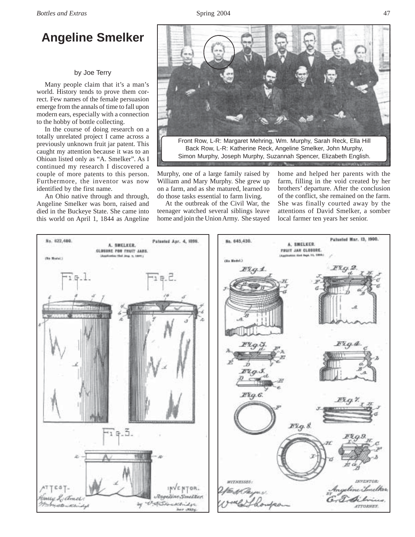## **Angeline Smelker**

## by Joe Terry

Many people claim that it's a man's world. History tends to prove them correct. Few names of the female persuasion emerge from the annals of time to fall upon modern ears, especially with a connection to the hobby of bottle collecting.

In the course of doing research on a totally unrelated project I came across a previously unknown fruit jar patent. This caught my attention because it was to an Ohioan listed only as "A. Smelker". As I continued my research I discovered a couple of more patents to this person. Furthermore, the inventor was now identified by the first name.

An Ohio native through and through, Angeline Smelker was born, raised and died in the Buckeye State. She came into this world on April 1, 1844 as Angeline



Murphy, one of a large family raised by William and Mary Murphy. She grew up on a farm, and as she matured, learned to do those tasks essential to farm living.

At the outbreak of the Civil War, the teenager watched several siblings leave home and join the Union Army. She stayed home and helped her parents with the farm, filling in the void created by her brothers' departure. After the conclusion of the conflict, she remained on the farm. She was finally courted away by the attentions of David Smelker, a somber local farmer ten years her senior.

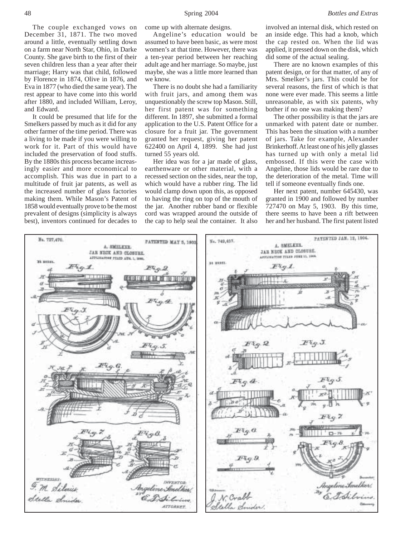The couple exchanged vows on December 31, 1871. The two moved around a little, eventually settling down on a farm near North Star, Ohio, in Darke County. She gave birth to the first of their seven children less than a year after their marriage; Harry was that child, followed by Florence in 1874, Olive in 1876, and Eva in 1877 (who died the same year). The rest appear to have come into this world after 1880, and included William, Leroy, and Edward.

It could be presumed that life for the Smelkers passed by much as it did for any other farmer of the time period. There was a living to be made if you were willing to work for it. Part of this would have included the preservation of food stuffs. By the 1880s this process became increasingly easier and more economical to accomplish. This was due in part to a multitude of fruit jar patents, as well as the increased number of glass factories making them. While Mason's Patent of 1858 would eventually prove to be the most prevalent of designs (simplicity is always best), inventors continued for decades to

come up with alternate designs.

Angeline's education would be assumed to have been basic, as were most women's at that time. However, there was a ten-year period between her reaching adult age and her marriage. So maybe, just maybe, she was a little more learned than we know.

There is no doubt she had a familiarity with fruit jars, and among them was unquestionably the screw top Mason. Still, her first patent was for something different. In 1897, she submitted a formal application to the U.S. Patent Office for a closure for a fruit jar. The government granted her request, giving her patent 622400 on April 4, 1899. She had just turned 55 years old.

Her idea was for a jar made of glass, earthenware or other material, with a recessed section on the sides, near the top, which would have a rubber ring. The lid would clamp down upon this, as opposed to having the ring on top of the mouth of the jar. Another rubber band or flexible cord was wrapped around the outside of the cap to help seal the container. It also involved an internal disk, which rested on an inside edge. This had a knob, which the cap rested on. When the lid was applied, it pressed down on the disk, which did some of the actual sealing.

There are no known examples of this patent design, or for that matter, of any of Mrs. Smelker's jars. This could be for several reasons, the first of which is that none were ever made. This seems a little unreasonable, as with six patents, why bother if no one was making them?

The other possibility is that the jars are unmarked with patent date or number. This has been the situation with a number of jars. Take for example, Alexander Brinkerhoff. At least one of his jelly glasses has turned up with only a metal lid embossed. If this were the case with Angeline, those lids would be rare due to the deterioration of the metal. Time will tell if someone eventually finds one.

Her next patent, number 645430, was granted in 1900 and followed by number 727470 on May 5, 1903. By this time, there seems to have been a rift between her and her husband. The first patent listed